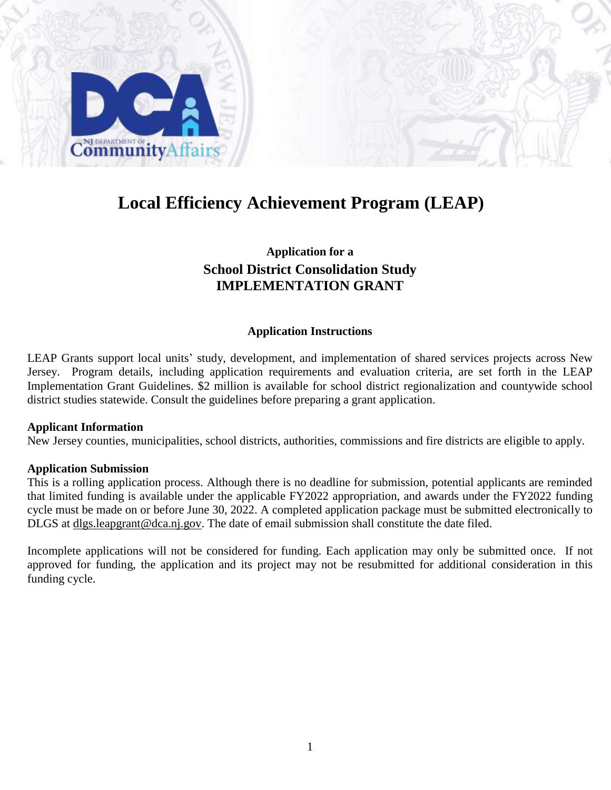

## **Local Efficiency Achievement Program (LEAP)**

## **Application for a School District Consolidation Study IMPLEMENTATION GRANT**

#### **Application Instructions**

LEAP Grants support local units' study, development, and implementation of shared services projects across New Jersey. Program details, including application requirements and evaluation criteria, are set forth in the LEAP Implementation Grant Guidelines. \$2 million is available for school district regionalization and countywide school district studies statewide. Consult the guidelines before preparing a grant application.

#### **Applicant Information**

New Jersey counties, municipalities, school districts, authorities, commissions and fire districts are eligible to apply.

#### **Application Submission**

This is a rolling application process. Although there is no deadline for submission, potential applicants are reminded that limited funding is available under the applicable FY2022 appropriation, and awards under the FY2022 funding cycle must be made on or before June 30, 2022. A completed application package must be submitted electronically to DLGS at dlgs.leapgrant@dca.nj.gov. The date of email submission shall constitute the date filed.

Incomplete applications will not be considered for funding. Each application may only be submitted once. If not approved for funding, the application and its project may not be resubmitted for additional consideration in this funding cycle.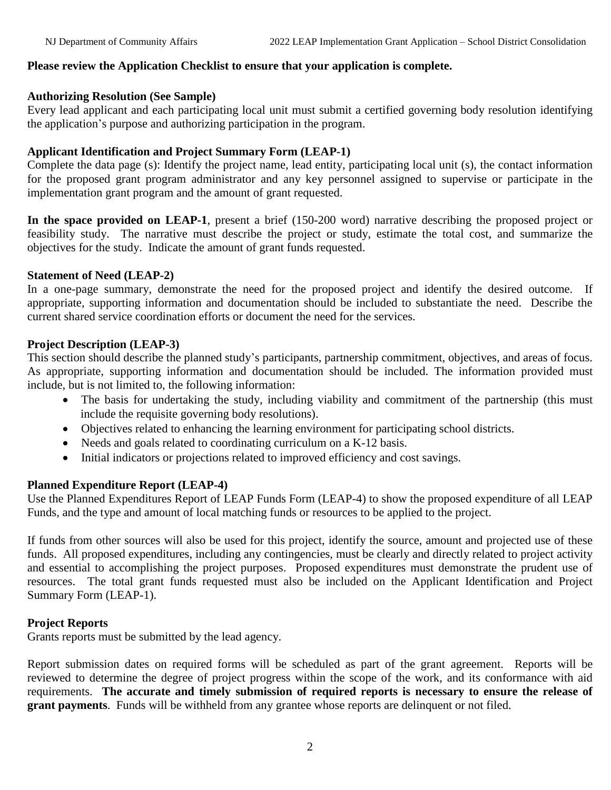## **Please review the Application Checklist to ensure that your application is complete.**

### **Authorizing Resolution (See Sample)**

Every lead applicant and each participating local unit must submit a certified governing body resolution identifying the application's purpose and authorizing participation in the program.

## **Applicant Identification and Project Summary Form (LEAP-1)**

Complete the data page (s): Identify the project name, lead entity, participating local unit (s), the contact information for the proposed grant program administrator and any key personnel assigned to supervise or participate in the implementation grant program and the amount of grant requested.

**In the space provided on LEAP-1**, present a brief (150-200 word) narrative describing the proposed project or feasibility study. The narrative must describe the project or study, estimate the total cost, and summarize the objectives for the study. Indicate the amount of grant funds requested.

#### **Statement of Need (LEAP-2)**

In a one-page summary, demonstrate the need for the proposed project and identify the desired outcome. If appropriate, supporting information and documentation should be included to substantiate the need. Describe the current shared service coordination efforts or document the need for the services.

#### **Project Description (LEAP-3)**

This section should describe the planned study's participants, partnership commitment, objectives, and areas of focus. As appropriate, supporting information and documentation should be included. The information provided must include, but is not limited to, the following information:

- The basis for undertaking the study, including viability and commitment of the partnership (this must include the requisite governing body resolutions).
- Objectives related to enhancing the learning environment for participating school districts.
- Needs and goals related to coordinating curriculum on a K-12 basis.
- Initial indicators or projections related to improved efficiency and cost savings.

#### **Planned Expenditure Report (LEAP-4)**

Use the Planned Expenditures Report of LEAP Funds Form (LEAP-4) to show the proposed expenditure of all LEAP Funds, and the type and amount of local matching funds or resources to be applied to the project.

If funds from other sources will also be used for this project, identify the source, amount and projected use of these funds. All proposed expenditures, including any contingencies, must be clearly and directly related to project activity and essential to accomplishing the project purposes. Proposed expenditures must demonstrate the prudent use of resources. The total grant funds requested must also be included on the Applicant Identification and Project Summary Form (LEAP-1).

## **Project Reports**

Grants reports must be submitted by the lead agency.

Report submission dates on required forms will be scheduled as part of the grant agreement. Reports will be reviewed to determine the degree of project progress within the scope of the work, and its conformance with aid requirements. **The accurate and timely submission of required reports is necessary to ensure the release of grant payments**. Funds will be withheld from any grantee whose reports are delinquent or not filed.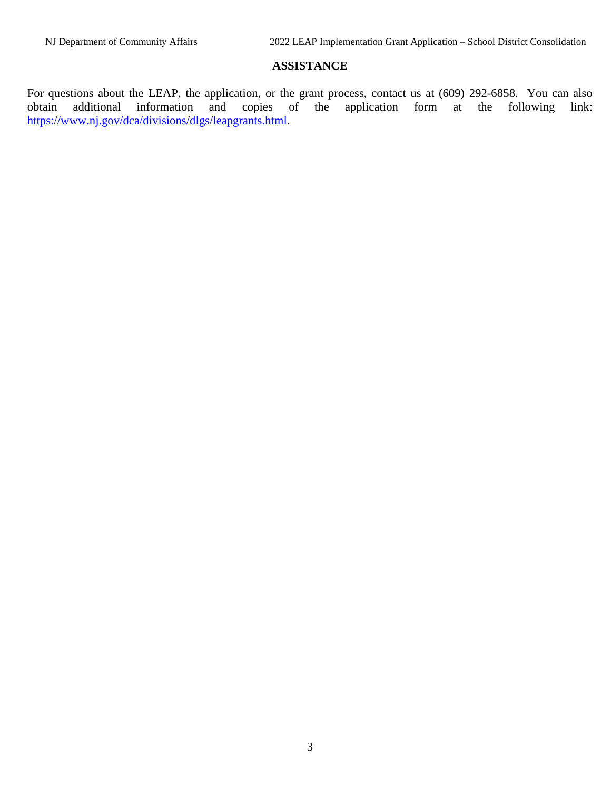## **ASSISTANCE**

For questions about the LEAP, the application, or the grant process, contact us at (609) 292-6858. You can also obtain additional information and copies of the application form at the following link: obtain additional information and copies of the application form at the following link: [https://www.nj.gov/dca/divisions/dlgs/leapgrants.html.](https://www.nj.gov/dca/divisions/dlgs/leapgrants.html)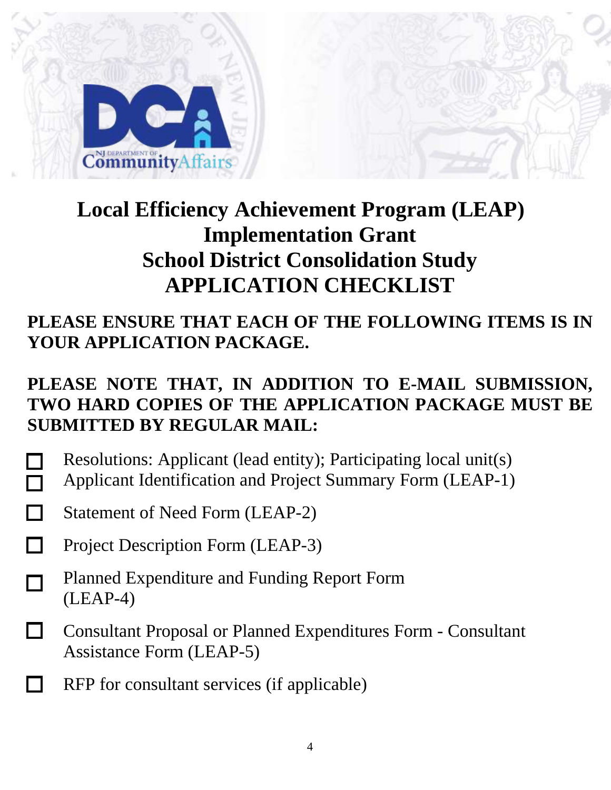

# **Local Efficiency Achievement Program (LEAP) Implementation Grant School District Consolidation Study APPLICATION CHECKLIST**

## **PLEASE ENSURE THAT EACH OF THE FOLLOWING ITEMS IS IN YOUR APPLICATION PACKAGE.**

## **PLEASE NOTE THAT, IN ADDITION TO E-MAIL SUBMISSION, TWO HARD COPIES OF THE APPLICATION PACKAGE MUST BE SUBMITTED BY REGULAR MAIL:**

- Resolutions: Applicant (lead entity); Participating local unit(s) Applicant Identification and Project Summary Form (LEAP-1)
- Statement of Need Form (LEAP-2)
- Project Description Form (LEAP-3)
- Planned Expenditure and Funding Report Form П (LEAP-4)
- П Consultant Proposal or Planned Expenditures Form - Consultant Assistance Form (LEAP-5)
- RFP for consultant services (if applicable)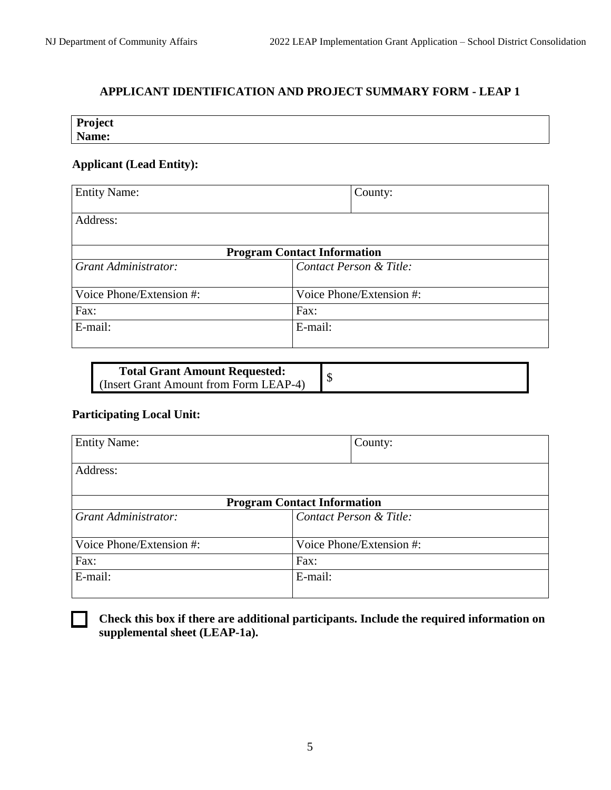## **APPLICANT IDENTIFICATION AND PROJECT SUMMARY FORM - LEAP 1**

| Project |  |  |  |
|---------|--|--|--|
| Name:   |  |  |  |

## **Applicant (Lead Entity):**

| <b>Entity Name:</b>      | County:                            |
|--------------------------|------------------------------------|
| Address:                 |                                    |
|                          | <b>Program Contact Information</b> |
| Grant Administrator:     | Contact Person & Title:            |
| Voice Phone/Extension #: | Voice Phone/Extension #:           |
| Fax:                     | Fax:                               |
| E-mail:                  | E-mail:                            |

| <b>Total Grant Amount Requested:</b>            |  |
|-------------------------------------------------|--|
| <b>I</b> (Insert Grant Amount from Form LEAP-4) |  |

## **Participating Local Unit:**

| <b>Entity Name:</b>      | County:                            |
|--------------------------|------------------------------------|
| Address:                 |                                    |
|                          | <b>Program Contact Information</b> |
| Grant Administrator:     | Contact Person & Title:            |
| Voice Phone/Extension #: | Voice Phone/Extension #:           |
| Fax:                     | Fax:                               |
| E-mail:                  | E-mail:                            |



**Check this box if there are additional participants. Include the required information on supplemental sheet (LEAP-1a).**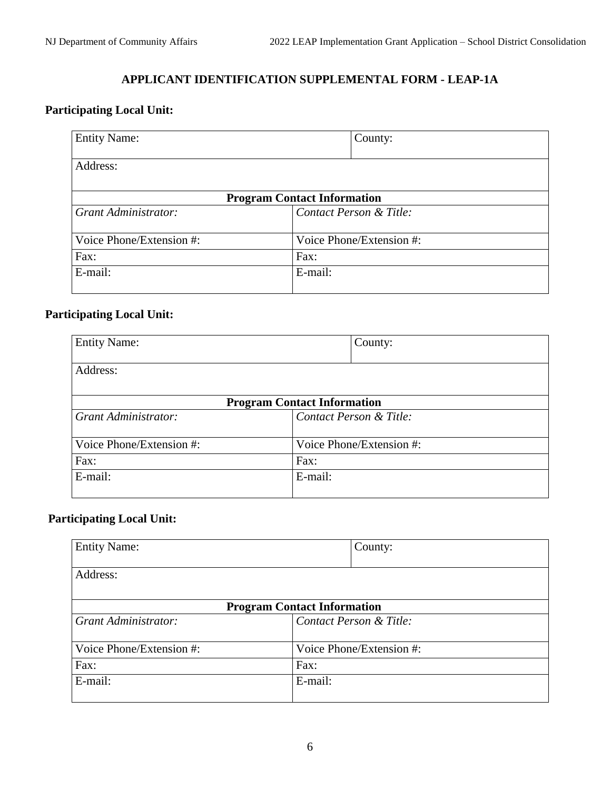## **APPLICANT IDENTIFICATION SUPPLEMENTAL FORM - LEAP-1A**

## **Participating Local Unit:**

| <b>Entity Name:</b>      | County:                            |  |
|--------------------------|------------------------------------|--|
|                          |                                    |  |
| Address:                 |                                    |  |
|                          |                                    |  |
|                          | <b>Program Contact Information</b> |  |
| Grant Administrator:     | Contact Person & Title:            |  |
|                          |                                    |  |
| Voice Phone/Extension #: | Voice Phone/Extension #:           |  |
| Fax:                     | Fax:                               |  |
| E-mail:                  | E-mail:                            |  |
|                          |                                    |  |

## **Participating Local Unit:**

| <b>Entity Name:</b>      |                                    | County:                  |
|--------------------------|------------------------------------|--------------------------|
| Address:                 |                                    |                          |
|                          |                                    |                          |
|                          | <b>Program Contact Information</b> |                          |
| Grant Administrator:     |                                    | Contact Person & Title:  |
| Voice Phone/Extension #: |                                    | Voice Phone/Extension #: |
| Fax:                     | Fax:                               |                          |
| E-mail:                  | E-mail:                            |                          |
|                          |                                    |                          |

## **Participating Local Unit:**

| <b>Entity Name:</b>                |         | County:                  |
|------------------------------------|---------|--------------------------|
|                                    |         |                          |
| Address:                           |         |                          |
|                                    |         |                          |
| <b>Program Contact Information</b> |         |                          |
| Grant Administrator:               |         | Contact Person & Title:  |
| Voice Phone/Extension #:           |         | Voice Phone/Extension #: |
| Fax:                               | Fax:    |                          |
| E-mail:                            | E-mail: |                          |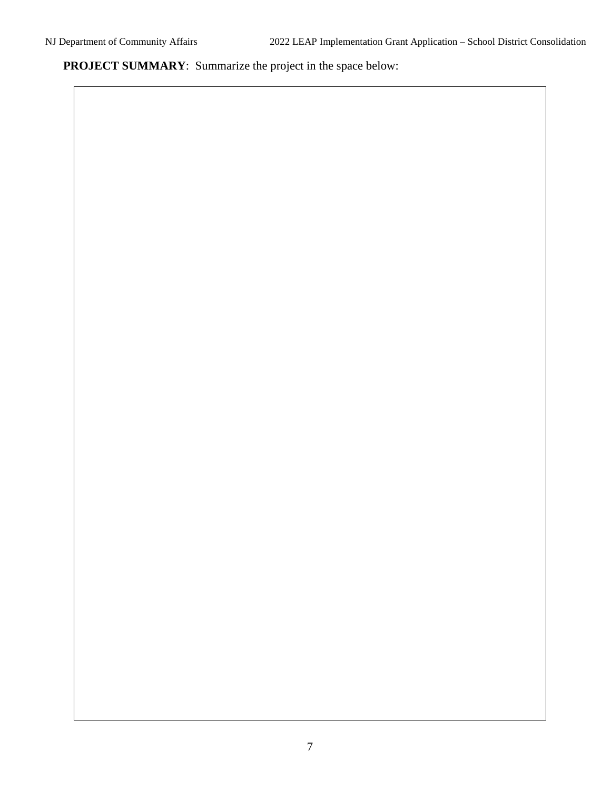**PROJECT SUMMARY**: Summarize the project in the space below: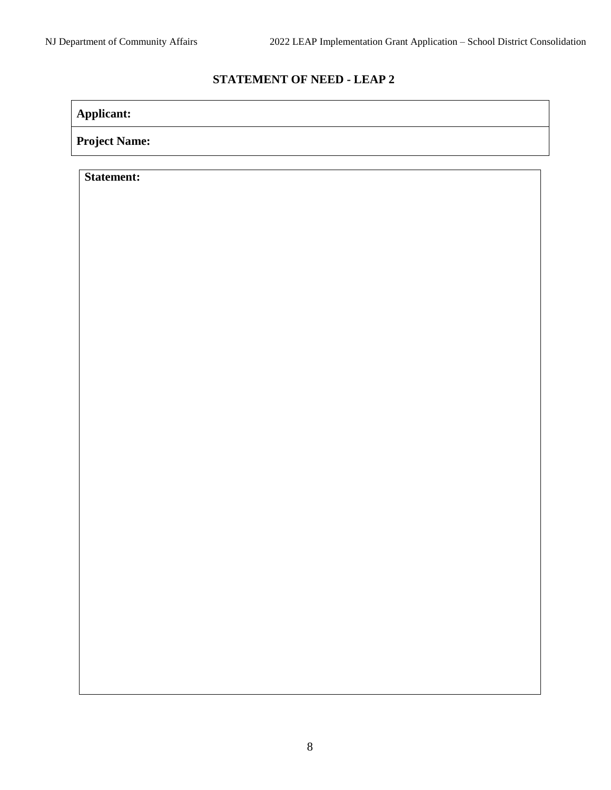## **STATEMENT OF NEED - LEAP 2**

**Applicant:**

**Project Name:**

**Statement:**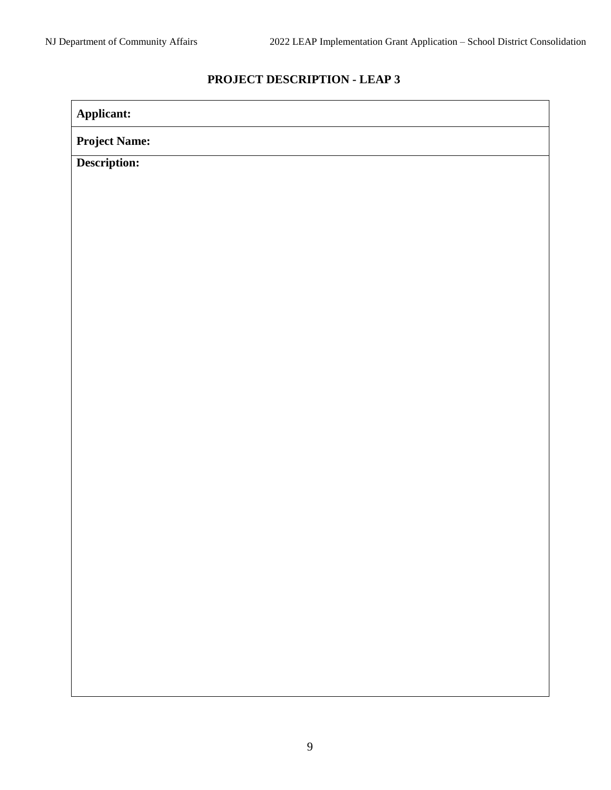## **PROJECT DESCRIPTION - LEAP 3**

| Applicant:           |  |
|----------------------|--|
| <b>Project Name:</b> |  |
| Description:         |  |
|                      |  |
|                      |  |
|                      |  |
|                      |  |
|                      |  |
|                      |  |
|                      |  |
|                      |  |
|                      |  |
|                      |  |
|                      |  |
|                      |  |
|                      |  |
|                      |  |
|                      |  |
|                      |  |
|                      |  |
|                      |  |
|                      |  |
|                      |  |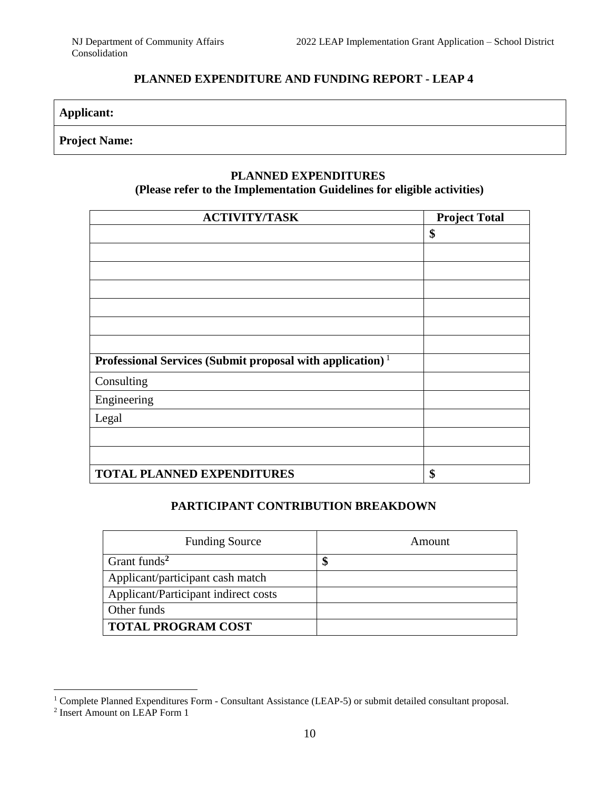## **PLANNED EXPENDITURE AND FUNDING REPORT - LEAP 4**

| <b>Applicant:</b> |
|-------------------|
|-------------------|

## **Project Name:**

### **PLANNED EXPENDITURES**

## **(Please refer to the Implementation Guidelines for eligible activities)**

| <b>ACTIVITY/TASK</b>                                                  | <b>Project Total</b> |
|-----------------------------------------------------------------------|----------------------|
|                                                                       | \$                   |
|                                                                       |                      |
|                                                                       |                      |
|                                                                       |                      |
|                                                                       |                      |
|                                                                       |                      |
|                                                                       |                      |
| Professional Services (Submit proposal with application) <sup>1</sup> |                      |
| Consulting                                                            |                      |
| Engineering                                                           |                      |
| Legal                                                                 |                      |
|                                                                       |                      |
|                                                                       |                      |
| <b>TOTAL PLANNED EXPENDITURES</b>                                     | \$                   |

### **PARTICIPANT CONTRIBUTION BREAKDOWN**

| <b>Funding Source</b>                | Amount |
|--------------------------------------|--------|
| Grant funds <sup>2</sup>             | Φ      |
| Applicant/participant cash match     |        |
| Applicant/Participant indirect costs |        |
| Other funds                          |        |
| <b>TOTAL PROGRAM COST</b>            |        |

 $\overline{a}$ 

<sup>&</sup>lt;sup>1</sup> Complete Planned Expenditures Form - Consultant Assistance (LEAP-5) or submit detailed consultant proposal.

<sup>2</sup> Insert Amount on LEAP Form 1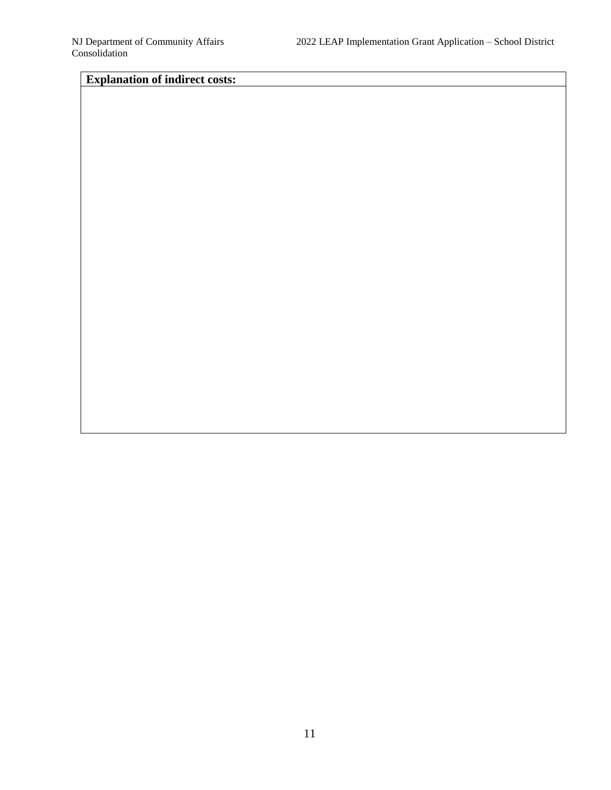## **Explanation of indirect costs:**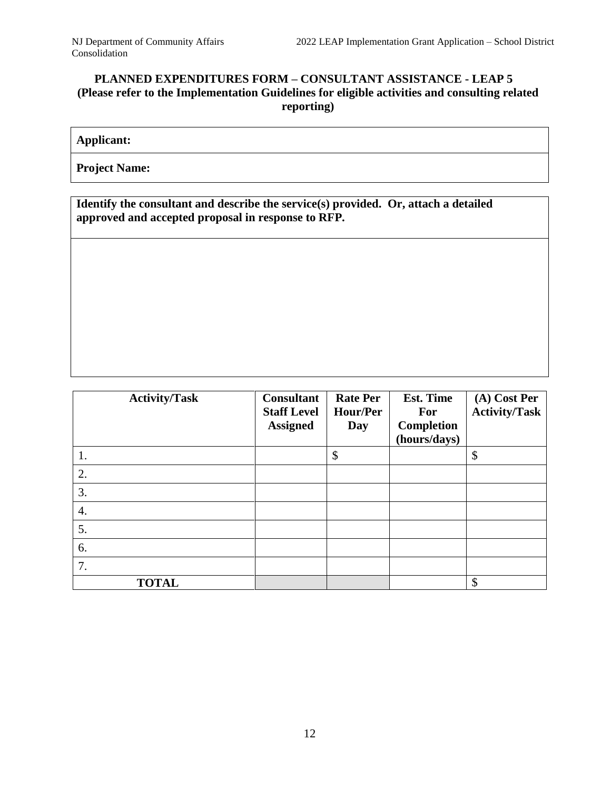## **PLANNED EXPENDITURES FORM – CONSULTANT ASSISTANCE - LEAP 5 (Please refer to the Implementation Guidelines for eligible activities and consulting related reporting)**

## **Applicant:**

**Project Name:**

**Identify the consultant and describe the service(s) provided. Or, attach a detailed approved and accepted proposal in response to RFP.** 

| <b>Activity/Task</b> | <b>Consultant</b><br><b>Staff Level</b><br><b>Assigned</b> | <b>Rate Per</b><br>Hour/Per<br>Day | <b>Est. Time</b><br><b>For</b><br><b>Completion</b><br>(hours/days) | (A) Cost Per<br><b>Activity/Task</b> |
|----------------------|------------------------------------------------------------|------------------------------------|---------------------------------------------------------------------|--------------------------------------|
| 1.                   |                                                            | \$                                 |                                                                     | \$                                   |
| 2.                   |                                                            |                                    |                                                                     |                                      |
| 3.                   |                                                            |                                    |                                                                     |                                      |
| 4.                   |                                                            |                                    |                                                                     |                                      |
| 5.                   |                                                            |                                    |                                                                     |                                      |
| 6.                   |                                                            |                                    |                                                                     |                                      |
| 7.                   |                                                            |                                    |                                                                     |                                      |
| <b>TOTAL</b>         |                                                            |                                    |                                                                     | \$                                   |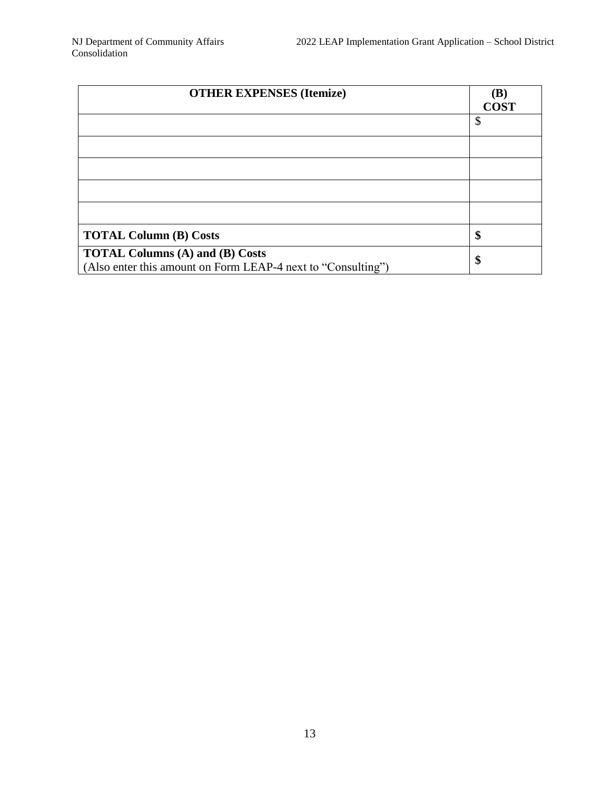| <b>OTHER EXPENSES (Itemize)</b>                                                                        | (B)<br><b>COST</b> |
|--------------------------------------------------------------------------------------------------------|--------------------|
|                                                                                                        | \$                 |
|                                                                                                        |                    |
|                                                                                                        |                    |
|                                                                                                        |                    |
|                                                                                                        |                    |
| <b>TOTAL Column (B) Costs</b>                                                                          | \$                 |
| <b>TOTAL Columns (A) and (B) Costs</b><br>(Also enter this amount on Form LEAP-4 next to "Consulting") | \$                 |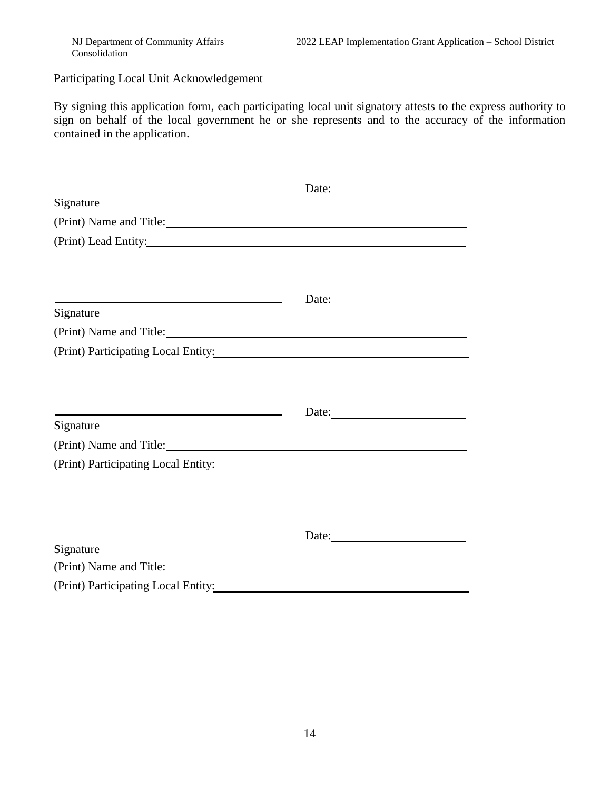Participating Local Unit Acknowledgement

By signing this application form, each participating local unit signatory attests to the express authority to sign on behalf of the local government he or she represents and to the accuracy of the information contained in the application.

| <u> 1989 - Johann Stoff, deutscher Stoffen und der Stoffen und der Stoffen und der Stoffen und der Stoffen und der </u>            | Date:                     |  |
|------------------------------------------------------------------------------------------------------------------------------------|---------------------------|--|
| Signature                                                                                                                          |                           |  |
|                                                                                                                                    |                           |  |
|                                                                                                                                    |                           |  |
|                                                                                                                                    |                           |  |
| <u> 1989 - Johann Stein, marwolaethau a bhann an t-Albann an t-Albann an t-Albann an t-Albann an t-Albann an t-Al</u><br>Signature | Date: $\frac{1}{2}$ Date: |  |
|                                                                                                                                    |                           |  |
| (Print) Participating Local Entity: Manual Assembly Participating Local Entity:                                                    |                           |  |
|                                                                                                                                    |                           |  |
|                                                                                                                                    |                           |  |
|                                                                                                                                    |                           |  |
| Signature                                                                                                                          |                           |  |
| (Print) Name and Title:                                                                                                            |                           |  |
| (Print) Participating Local Entity:                                                                                                |                           |  |
|                                                                                                                                    |                           |  |
|                                                                                                                                    |                           |  |
| <u> 1989 - Johann Stoff, amerikansk politiker (* 1908)</u>                                                                         | Date:                     |  |
| Signature                                                                                                                          |                           |  |
| (Print) Name and Title:                                                                                                            |                           |  |
|                                                                                                                                    |                           |  |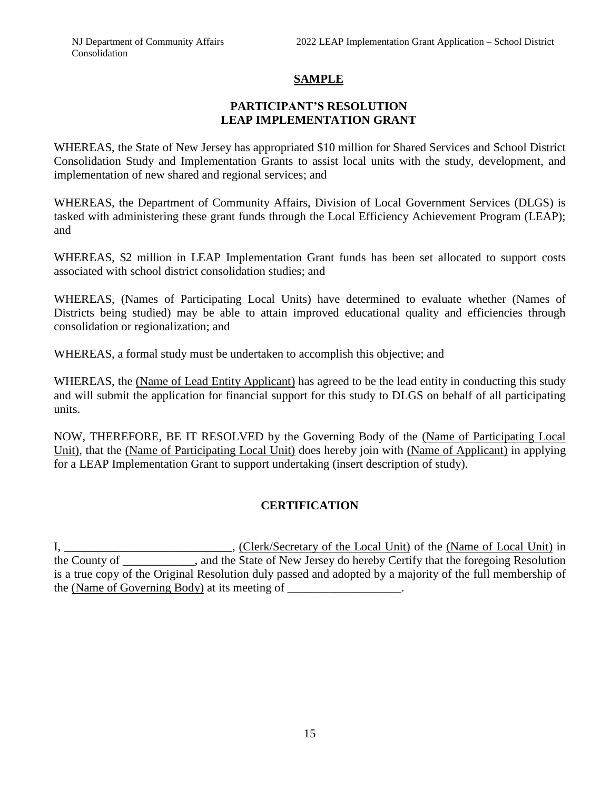## **SAMPLE**

### **PARTICIPANT'S RESOLUTION LEAP IMPLEMENTATION GRANT**

WHEREAS, the State of New Jersey has appropriated \$10 million for Shared Services and School District Consolidation Study and Implementation Grants to assist local units with the study, development, and implementation of new shared and regional services; and

WHEREAS, the Department of Community Affairs, Division of Local Government Services (DLGS) is tasked with administering these grant funds through the Local Efficiency Achievement Program (LEAP); and

WHEREAS, \$2 million in LEAP Implementation Grant funds has been set allocated to support costs associated with school district consolidation studies; and

WHEREAS, (Names of Participating Local Units) have determined to evaluate whether (Names of Districts being studied) may be able to attain improved educational quality and efficiencies through consolidation or regionalization; and

WHEREAS, a formal study must be undertaken to accomplish this objective; and

WHEREAS, the (Name of Lead Entity Applicant) has agreed to be the lead entity in conducting this study and will submit the application for financial support for this study to DLGS on behalf of all participating units.

NOW, THEREFORE, BE IT RESOLVED by the Governing Body of the (Name of Participating Local Unit), that the (Name of Participating Local Unit) does hereby join with (Name of Applicant) in applying for a LEAP Implementation Grant to support undertaking (insert description of study).

## **CERTIFICATION**

I, \_\_\_\_\_\_\_\_\_\_\_\_\_\_\_\_\_\_\_\_\_\_\_\_\_\_\_, (Clerk/Secretary of the Local Unit) of the (Name of Local Unit) in the County of \_\_\_\_\_\_\_\_\_\_\_\_, and the State of New Jersey do hereby Certify that the foregoing Resolution is a true copy of the Original Resolution duly passed and adopted by a majority of the full membership of the (Name of Governing Body) at its meeting of